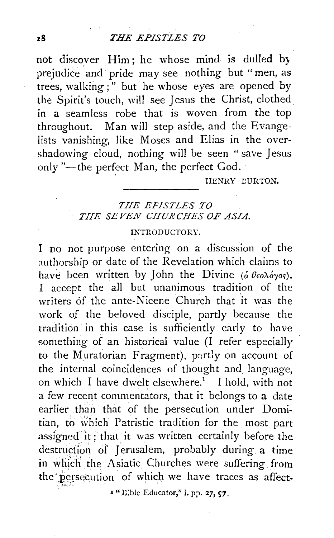not discover Him; he whose mind is dulled by prejudice and· pride may see nothing but "men, as trees, walking;" but he whose eyes are opened by the Spirit's touch, will see Jesus the Christ, clothed in a seamless robe that is woven from the top throughout. Man will step aside, and the Evangelists vanishing, like Moses and Elias in the overshadowing cloud, nothing will be seen " save Jesus only "-the perfect Man, the perfect God.

IIENRY CURTON.

## *TIIE EPISTLES TO TIIE SEVEN CIIURCHES OF ASIA.*

## INTRODUCTORY.

I DO not purpose entering on a discussion of the authorship or date of the Revelation which claims to have been written by John the Divine ( $\acute{o}$   $\theta$ εολόγος). I accept the all but unanimous tradition of the writers of the ante-Nicene Church that it was the work of the beloved disciple, partly because the tradition· in· this case is sufficiently early to have something of an historical value (I refer especially to the Muratorian Fragment), partly on account of the internal coincidences of thought and language, on which I have dwelt elsewhere.<sup>1</sup> I hold, with not a few recent commentators, that it belongs to a date earlier than that of the persecution under Domitian, to which Patristic tradition for the most part assigned it; that it was written certainly before the destruction of Jerusalem, probably during a time in which the Asiatic Churches were suffering from the persecution of which we have traces as affect-

 $x$  "B; ble Educator," i. pp. 27,  $57$ .

*. .:* -~-!''- *f\_* L ' '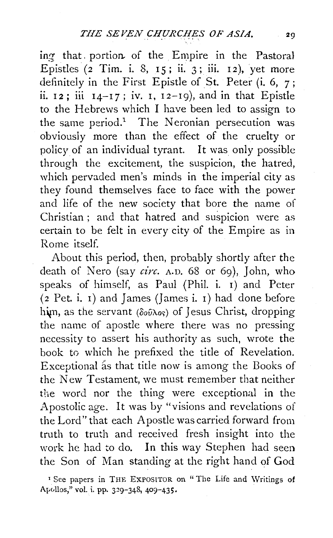ing that. portion. of the Empire in the Pastoral Epistles  $(2$  Tim. i. 8, 15; ii. 3; iii. 12), yet more definitely in the First Epistle of St. Peter (i. 6, 7; ii.  $12$ ; iii  $14-17$ ; iv. 1,  $12-19$ ), and in that Epistle to the Hebrews which I have been led to assign to the same period.<sup>1</sup> The Neronian persecution was obviously more than the effect of the cruelty or policyof an individual tyrant. It was only possible through the excitement, the suspicion, the hatred, which pervaded men's minds in the imperial city as they found themselves face to face with the power and life of the new society that bore the name of Christian ; and that hatred and suspicion were as certain to be felt in every city of the Empire as in Rome itself.

About this period, then, probably shortly after the death of Nero (say *circ.* A.D. 68 or 6g), John, who speaks of himself, as Paul (Phil. i. 1) and Peter  $(2$  Pet. i. 1) and James (James i. 1) had done before him, as the servant ( $\delta \hat{\omega} \hat{\lambda}$ os) of Jesus Christ, dropping the name of apostle where there was no pressing necessity to assert his authority as such, wrote the book to which he prefixed the title of Revelation. Exceptional as that title now is among the Books of the New Testament, we must remember that neither the word nor the thing were exceptional in the Apostolic age. It was by "visions and revelations of the Lord" that each Apostle was carried forward from truth to truth and received fresh insight into the work he had to do. In this way Stephen had seen the Son of Man standing at the right hand of God

<sup>1</sup> See papers in THE EXPOSITOR on "The Life and Writings of Apollos," vol. i. pp. 329-348, 409-435.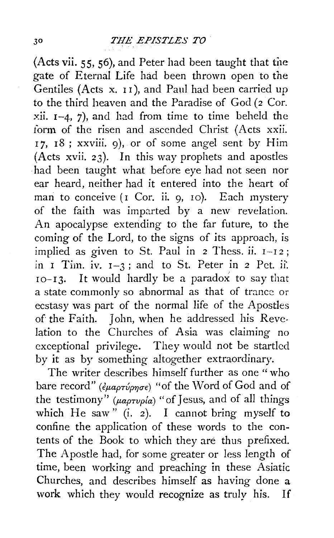(Acts vii. 55, 56), and Peter had been taught that the gate of Eternal Life had been thrown open to the Gentiles (Acts x. II), and Paul had been carried up to the third heaven and the Paradise of  $God (2)$ Cor. :.v:ii. I-4, 7), and had from *time* to *time* beheld the form of the risen and ascended Christ (Acts xxii. 17, 18; *xxviii.* 9), or of some angel sent by Him (Acts xvii. 23). In this way prophets and apostles had been taught what before eye had not seen nor ear heard, neither had it entered into the heart of man to conceive  $(I \text{Cor. ii. g. 10})$ . Each mystery of the faith was imparted by a new revelation. An apocalypse extending to the far future, to the coming of the Lord, to the signs of its approach, is implied as given to St. Paul in  $2$  Thess. ii.  $I-I2$ ; in I Tim. iv. 1-3 ; and to St. Peter *in* 2 Pet. ii·. 10-13. It would hardly be a paradox to say that a state commonly so abnormal as that of trance or ecstasy was part of the normal life of the Apostles of the Faith. John, when he addressed his Revelation to the Churches of Asia was claiming no exceptional privilege. They would not be startled by it as by something altogether extraordinary.

The writer describes himself further as one "who bare record" ( $\epsilon_{\mu\alpha\rho\tau\nu\rho\eta\sigma\epsilon}$ ) "of the Word of God and of the testimony"  $(\mu a \rho \tau \nu \rho/a)$  "of Jesus, and of all things which He saw" (i. 2). I cannot bring myself to confine the application of these words to the contents of the Book to which they are thus prefixed. The Apostle had, for some greater or less length of *time,* been working and preaching in these *Asiatic*  Churches, and describes himself as having done a work which they would recognize as truly his. If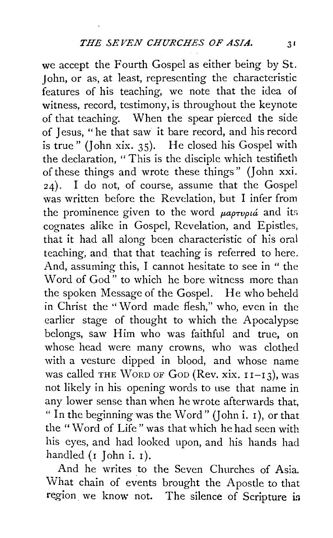we accept the Fourth Gospel as either being by St. John, or as, at least, representing the characteristic features of his teaching, we note that the idea of witness, record, testimony, is throughout the keynote of that teaching. When the spear pierced the side of Jesus, "he that saw it bare record, and his record is true" (John xix. 35). He closed his Gospel with the declaration, "This is the disciple which testifieth of these things and wrote these things" (John xxi. 24). I do not, of course, assume that the Gospel was written before the Revelation, but I infer from the prominence given to the word  $\mu$ *aptupua* and its cognates alike in Gospel, Revelation, and Epistles, that it had all along been characteristic of his oral teaching, and that that teaching is referred to here. And, assuming this, I cannot hesitate to see in " the Word of God" to which he bore witness more than the spoken Message of the Gospel. He who beheld in Christ the ''Word made flesh," who, even in the earlier stage of thought to which the Apocalypse belongs, saw Him who was faithful and true, on whose head were many crowns, who was clothed with a vesture dipped in blood, and whose name was called THE WORD OF GOD (Rev. xix.  $11-13$ ), was not likely in his opening words to use that name in any lower sense than when he wrote afterwards that, " In the beginning was the Word" (John i.  $\bar{1}$ ), or that the "Word of Life" was that which he had seen with his eyes, and had looked upon, and his hands had handled  $(r$  John i.  $r$ ).

And he writes to the Seven Churches of Asia. What chain of events brought the Apostle to that region. we know not. The silence of Scripture in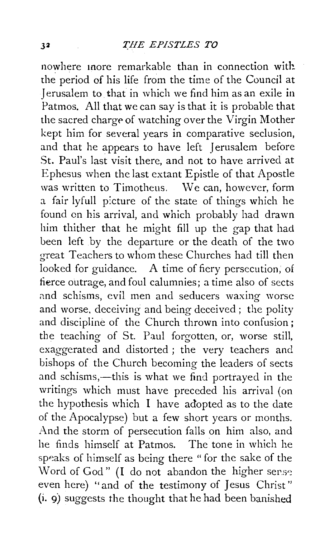nowhere more remarkable than in connection with the period of his life from the time of the Council at Jerusalem to that in which we find him as an exile in Patmos. All that we can say is that it is probable that the sacred charge of watching over the Virgin Mother kept him for several years in comparative seclusion, and that he appears to have left Jerusalem before St. Paul's last visit there, and not to have arrived at Ephesus when the last extant Epistle of that Apostle was written to Timotheus. We can, however, form a fair lyfull p:cture of the state of things which he found on his arrival, and which probably had drawn him thither that he might fill up the gap that had been left by the departure or the death of the two great Teachers to wliom these Churches had till then looked for guidance. A time of fiery persecution, of fierce outrage, and foul calumnies; a time also of sects and schisms, evil men and seducers waxing worse and worse. deceiving and being deceived; the polity and discipline of the Church thrown into confusion; the teaching of St. Paul forgotten, or, worse still, exaggerated and distorted ; the very teachers and bishops of the Church becoming the leaders of sects and schisms,—this is what we find portrayed in the writings which must have preceded his arrival (on the hypothesis which I have adopted as to the date of the Apocalypse) but a few short years or months. And the storm of persecution falls on him also, and he finds himself at Patmos. The tone in which he speaks of himself as being there " for the sake of the Word of God" (I do not abandon the higher ser.se even here) "and of the testimony of Jesus Christ'' (i. 9) suggests the thought that he had been banished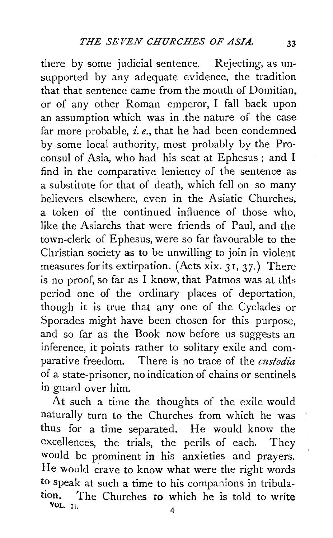there by some judicial sentence. Rejecting, as unsupported by any adequate evidence, the tradition that that sentence came from the mouth of Domitian, or of any other Roman emperor, I fall back upon an assumption which was in .the nature of the case far more probable, *i.e.*, that he had been condemned by some local authority, most probably by the Proconsul of Asia, who had his seat at Ephesus; and I find in the comparative leniency of the sentence as a substitute for that of death, which fell on so many believers elsewhere, even in the Asiatic Churches, a token of the continued influence of those who, like the Asiarchs that were friends of Paul, and the town-clerk of Ephesus, were so far favourable to the Christian society as to be unwilling to join in violent measures for its extirpation. (Acts xix.  $31, 37$ .) There is no proof, so far as I know, that Patmos was at this period one of the ordinary places of deportation, though it is true that any one of the Cyclades or Sporades might have been chosen for this purpose, and so far as the Book now before us suggests an inference, it points rather to solitary exile and comparative freedom. There is no trace of the *custodia*  of a state-prisoner, no indication of chains or sentinels in guard over him.

At such a time the thoughts of the exile would naturally turn to the Churches from which he was thus for a time separated. He would know the excellences, the trials, the perils of each. They would be prominent in his anxieties and prayers. He would crave to know what were the right words to speak at such a time to his companions in tribulation. The Churches to which he is told to write **VOL.** 11.  $4$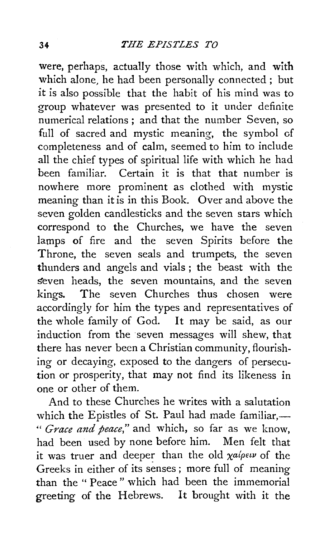were, perhaps, actually those with which, and with which alone, he had been personally connected ; but it is also possible that the habit of his mind was to group whatever was presented to it under definite numerical relations ; and that the number Seven, so full of sacred and mystic meaning, the symbol of completeness and of calm, seemed to him to include all the chief types of spiritual life with which he had been familiar. Certain it is that that number is nowhere more prominent as clothed with mystic meaning than it is in this Book. Over and above the seven golden candlesticks and the seven stars which correspond to the Churches, we have the seven lamps of fire and the seven Spirits before the Throne, the seven seals and trumpets, the seven thunders and angels and vials; the beast with the seven heads, the seven mountains, and the seven kings. The seven Churches thus chosen were accordingly for him the types and representatives of the whole family of God. It may be said, as our induction from the seven messages will shew, that there has never been a Christian community, flourishing or decaying, exposed to the dangers of persecution or prosperity, that may not find its likeness in one or other of them.

And to these Churches he writes with a salutation which the Epistles of St. Paul had made familiar, $-$ " *Grace and peace,"* and which, so far as we know, had been used by none before him. Men felt that it was truer and deeper than the old  $\chi a / \rho \epsilon \nu$  of the Greeks in either of its senses ; more full of meaning than the " Peace " which had been the immemorial greeting of the Hebrews. It brought with it the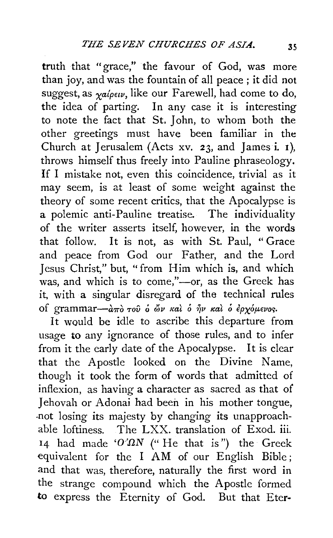truth that "grace," the favour of God, was more than joy, and was the fountain of all peace ; it did not suggest, as  $\gamma a/\rho \epsilon \nu$ , like our Farewell, had come to do, the idea of parting. In any case it is interesting to note the fact that St, John, to whom both the other greetings must have been familiar in the Church at Jerusalem (Acts xv. 23, and James i. 1), throws himself thus freely into Pauline phraseology. If I mistake not, even this coincidence, trivial as it may seem, is at least of some weight against the theory of some recent critics, that the Apocalypse is a polemic anti-Pauline treatise. The individuality of the writer asserts itself, however, in the words that follow. It is not, as with St. Paul, "Grace and peace from God our Father, and the Lord Jesus Christ," but, "from Him which is, and which was, and which is to come,"--- or, as the Greek has it, with a singular disregard of the technical rules of grammar-*aπό του* ο ών και ό ήν και ο ερχόμενος.

It would be idle to ascribe this departure from usage to any ignorance of those rules, and to infer from it the early date of the Apocalypse. It is clear that the Apostle looked on the Divine Name, though it took the form of words that admitted of inflexion, as having a character as sacred as that of Jehovah or Adonai had been in his mother tongue, -not losing its majesty by changing its unapproachable loftiness. The LXX. translation of Exod. iii. 14 had made ' $O' \Omega N$  (" He that is") the Greek equivalent for the I AM of our English Bible ; and that was, therefore, naturally the first word in the strange compound which the Apostle formed to express the Eternity of God. But that Eter-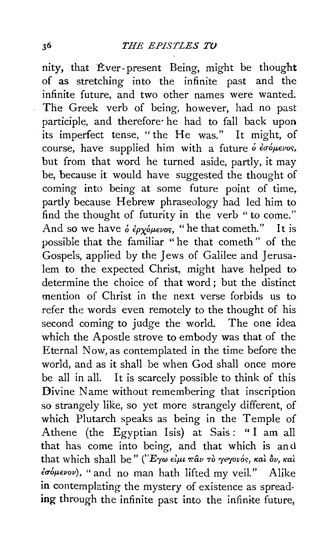nity, that Ever-present Being, might be thought of as stretching into the infinite past and the infinite future, and two other names were wanted. The Greek verb of being, however, had no past participle, and therefore· he had to fall back upon its imperfect tense, "the He was." It might, of course, have supplied him with a future ό έσόμενος, but from that word he turned aside, partly, it may be, because it would have suggested the thought of coming into being at some future point of time, partly because Hebrew phraseology had led him to find the thought of futurity in the verb "to come." And so we have  $\delta \epsilon_{\rho \chi} \delta_{\mu \epsilon \nu \sigma \varsigma}$ , "he that cometh." It is possible that the familiar " he that cometh " of the Gospels, applied by the Jews of Galilee and Jerusalem to the expected Christ, might have helped to determine the choice of that word ; but the distinct mention of Christ in the next verse forbids us to refer the words even remotely to the thought of his second coming to judge the world. The one idea which the Apostle strove to embody was that of the Eternal Now, as contemplated in the time before the world, and as it shall be when God shall once more be all in all. It is scarcely possible to think of this Divine Name without remembering that inscription so strangely like, so yet more strangely different, of which Plutarch speaks as being in the Temple of Athene (the Egyptian Isis) at Sais: " I am all that has come into being, and that which is and that which shall be" ("Εγω είμι παν τὸ γεγονός, καὶ δν, καὶ  $\epsilon \sigma \omega$ <sub>ενον</sub>), "and no man hath lifted my veil." Alike **in** contemplating the mystery of existence as spread**ing** through the infinite past into the infinite future,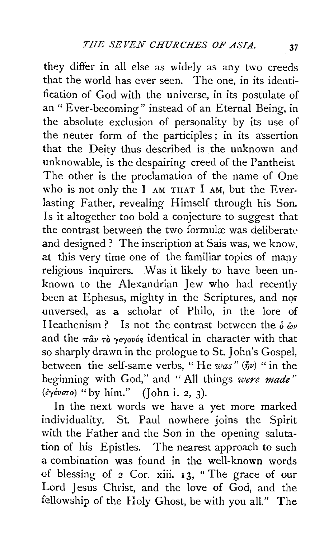they differ in all else as widely as any two creeds that the world has ever seen. The one, in its identification of God with the universe, in its postulate of an" Ever-becoming" instead of an Eternal Being, in the absolute exclusion of personality by its use of the neuter form of the participles ; in its assertion that the Deity thus described is the unknown and unknowable, is the despairing creed of the Pantheist The other is the proclamation of the name of One who is not only the  $I$  AM THAT  $I$  AM, but the Everlasting Father, revealing Himself through his Son. Is it altogether too bold a conjecture to suggest that the contrast between the two formulæ was deliberate and designed? The inscription at Sais was, we know, at this very time one of the familiar topics of many religious inquirers. Was it likely to have been unknown to the Alexandrian Jew who had recently been at Ephesus, mighty in the Scriptures, and not unversed, as a scholar of Philo, in the lore of Heathenism? Is not the contrast between the  $\delta \ddot{\omega}$ and the  $\pi \hat{a} \nu \tau \hat{o}$  yeyov<sub>os</sub> identical in character with that so sharply drawn in the prologue to St. John's Gospel, between the self-same verbs, "He was" ( $\hat{\eta}v$ ) " in the beginning with God," and " All things *were made"*  ( $\acute{e}y$  $\acute{e}v$  $\epsilon\tau$ o) "by him." (John i. 2, 3).

In the next words we have a yet more marked individuality. St. Paul nowhere joins the Spirit with the Father and the Son in the opening salutation of his Epistles. The nearest approach to such a combination was found in the well-known words of blessing of 2 Cor. xiii. 13, "The grace of our Lord Jesus Christ, and the love of God, and the fellowship of the Holy Ghost, be with you all." The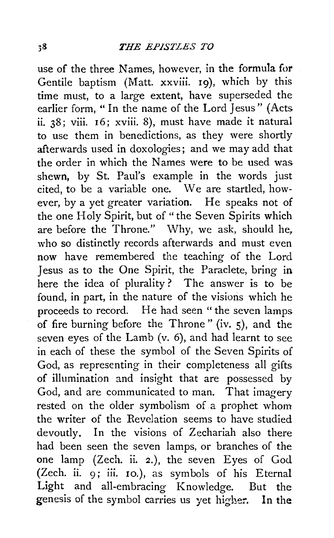use of the three Names, however, in the formula for Gentile baptism (Matt. xxviii. 19), which by this time must, to a large extent, have superseded the earlier form, " In the name of the Lord Jesus" (Acts ii. 38; viii. 16; xviii. 8), must have made it natural to use them in benedictions, as they were shortly afterwards used in doxologies; and we may add that the order in which the Names were to be used was shewn, by St. Paul's example in the words just cited, to be a variable one. We are startled, however, by a yet greater variation. He speaks not of the one Holy Spirit, but of "the Seven Spirits which are before the Throne." Why, we ask, should he, who so distinctly records afterwards and must even now have remembered the teaching of the Lord Jesus as to the One Spirit, the Paraclete, bring in here the idea of plurality ? The answer is to be found, in part, in the nature of the visions which he proceeds to record. He had seen "the seven lamps of fire burning before the Throne " (iv. 5), and the seven eyes of the Lamb (v. 6), and had learnt to see in each of these the symbol of the Seven Spirits of God, as representing in their completeness all gifts of illumination and insight that are possessed by God, and are communicated to man. That imagery rested on the older symbolism of a prophet whom the writer of the Revelation seems to have studied devoutly. In the visions of Zechariah also there had been seen the seven lamps, or branches of the one lamp (Zech. ii. 2.), the seven Eyes of God (Zech. ii. 9; iii. Io.), as symbols of his Eternal Light and all-embracing Knowledge. But the genesis of the symbol carries us yet higher. In the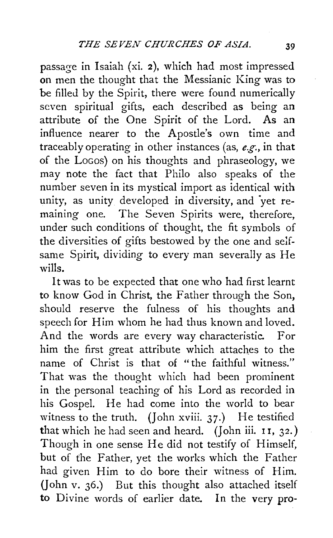passage in Isaiah (xi. 2), which had most impressed on men the thought that the Messianic King was to be filled by the Spirit, there were found numerically seven spiritual gifts, each described as being an attribute of the One Spirit of the Lord. As an influence nearer to the Apostle's own time and traceably operating in other instances (as, *e.g.,* in that of the LoGos) on his thoughts and phraseology, we may note the fact that Philo also speaks of the number seven in its mystical import as identical with unity, as unity developed in diversity, and 'yet remaining one. The Seven Spirits were, therefore, under such conditions of thought, the fit symbols of the diversities of gifts bestowed by the one and se!fsame Spirit, dividing to every man severally as He wills.

It was to be expected that one who had first learnt to know God in Christ, the Father through the Son, should reserve the fulness of his thoughts and speech for Him whom he had thus known and loved. And the words are every way characteristic. For him the first great attribute which attaches to the name of Christ is that of "the faithful witness." That was the thought which had been prominent in the personal teaching of his Lord as recorded in his Gospel. He had come into the world to bear witness to the truth. (John xviii.  $37$ .) He testified that which he had seen and heard. (John iii.  $11, 32.$ ) Though in one sense He did not testify of Himself, but of the Father, yet the works which the Father had given Him to do bore their witness of Him. (John v. 36.) But this thought also attached itself to Divine words of earlier date. In the very pro-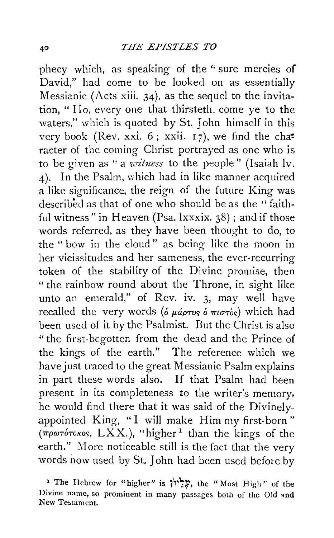phecy which, as speaking of the "sure mercies of David," had come to be looked on as essentially Messianic (Acts xiii. 34), as the sequel to the invitation, " Ho, every one that thirsteth, come ye to the waters." which is quoted by St. John himself in this very book (Rev. xxi. 6; xxii.  $17$ ), we find the cha<sup>2</sup> racter of the coming Christ portrayed as one who is to be given as " a *witness* to the people" (Isaiah lv. 4). In the Psalm, which had in like manner acquired a like significance, the reign of the future King was described as that of one who should be as the " faithful witness" in Heaven (Psa. lxxxix. 38); and if those words referred, as they have been thought to do, to the " bow in the cloud" as being like the moon in her vicissitudes and her sameness, the ever-recurring token of the stability of the Divine promise, then "the rainbow round about the Throne, in sight like unto an emerald," of Rev. iv. 3, may well have recalled the very words ( $\delta \mu \omega \to \pi i \sigma \tau \delta s$ ) which had been used of it by the Psalmist. But the Christ is also "the first-begotten from the dead and the Prince of the kings of the earth." The reference which we have just traced to the great Messianic Psalm explains in part these words also. If that Psalm had been present in its completeness to the writer's memory. he would find there that it was said of the Divinelyappointed King, "I will make Him my first-born" ( $\pi \rho \omega \tau$ órokos, LXX.), "higher<sup>1</sup> than the kings of the earth." More noticeable still is the fact that the very words now used by St. John had been used before by

<sup>&</sup>lt;sup>1</sup> The Hebrew for "higher" is  $\sum Y$ , the "Most High" of the Divine name, so prominent in many passages both of the Old and New Testament.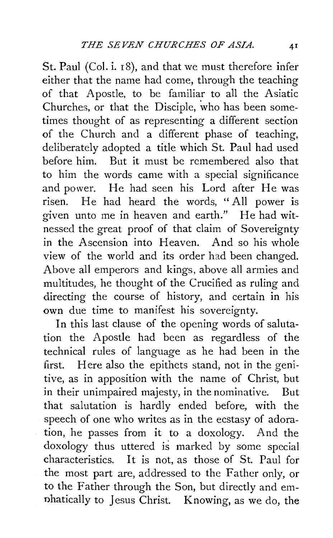St. Paul (Col. i. 18), and that we must therefore infer either that the name had come, through the teaching of that Apostle, to be familiar to all the Asiatic Churches, or that the Disciple, who has been sometimes thought of as representing a different section of the Church and a different phase of teaching, deliberately adopted a title which St. Paul had used before him. But it must be remembered also that to him the words came with a special significance and power. He had seen his Lord after He was risen. He had heard the words, "All power is given unto me in heaven and earth." He had witnessed the great proof of that claim of Sovereignty in the Ascension into Heaven. And so his whole view of the world and its order had been changed. Above all emperors and kings, above all armies and multitudes, he thought of the Crucified as ruling and directing the course of history, and certain in his own due time to manifest his sovereignty.

In this last clause of the opening words of salutation the Apostle had been as regardless of the technical rules of language as he had been in the first. Here also the epithets stand, not in the genitive, as in apposition with the name of Christ, but in their unimpaired majesty, in the nominative. But that salutation is hardly ended before, with the speech of one who writes as in the ecstasy of adoration, he passes from it to a doxology. And the doxology thus uttered is marked by some special characteristics. It is not, as those of St. Paul for the most part are, addressed to the Father only, or to the Father through the Son, but directly and emnhatically to Jesus Christ. Knowing, as we do, the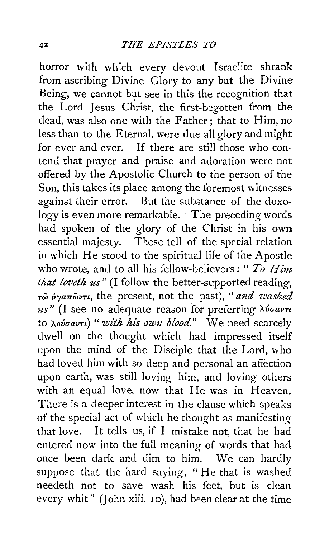horror with which every devout Israelite shrank from ascribing Divine Glory to any but the Divine Being, we cannot but see in this the recognition that the Lord Jesus Christ, the first-begotten from the dead, was also one with the Father; that to Him, no less than to the Eternal, were due all glory and might for ever and ever. If there are still those who contend that prayer and praise and adoration were not offered by the Apostolic Church to the person of the Son, this takes its place among the foremost witnesses. against their error. But the substance of the doxology is even more remarkable. The preceding words had spoken of the glory of the Christ in his own essential majesty. These tell of the special relation in which He stood to the spiritual life of the Apostle who wrote, and to all his fellow-believers: "*To Him that loveth us"* (I follow the better-supported reading, *Tw a"'a7rwvTt,* the present, not the past), *"and washed us"* (I see no adequate reason for preferring *A.va-avn*  to *λούσαντι*) "*with his own blood.*" We need scarcely dwell on the thought which had impressed itself upon the mind of the Disciple that the Lord, who had loved him with so deep and personal an affection upon earth, was still loving him, and loving others with an equal love, now that He was in Heaven. There is a deeper interest in the clause which speaks of the special act of which he thought as manifesting that love. It tells us, if I mistake not, that he had entered now into the full meaning of words that had once been dark and dim to him. We can hardly suppose that the hard saying, " He that is washed needeth not to save wash his feet, but is clean every whit" (John xiii. 10), had been clear at the time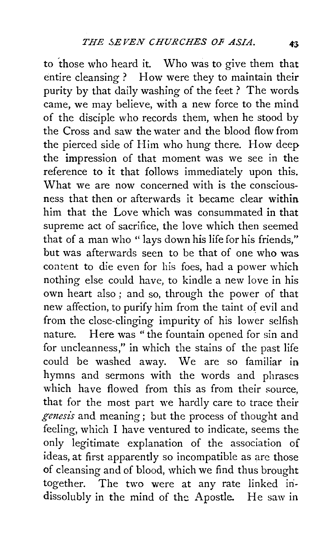to 'those who heard it. Who was to give them that entire cleansing? How were they to maintain their purity by that daily washing of the feet ? The words came, we may believe, with a new force to the mind of the disciple who records them, when he stood by the Cross and saw the water and the blood flow from the pierced side of Him who hung there. How deep the impression of that moment was we see in the reference to it that follows immediately upon this. What we are now concerned with is the consciousness that then or afterwards it became clear within him that the Love which was consummated in that supreme act of sacrifice, the love which then seemed that of a man who "lays down his life for his friends," but was afterwards seen to be that of one who was content to die even for his foes, had a power which nothing else could have, to kindle a new love in his own heart also ; and so, through the power of that new affection, to purify him from the taint of evil and from the close-clinging impurity of his lower selfish nature. Here was "the fountain opened for sin and for uncleanness," in which the stains of the past life could be washed away. We are so familiar in hymns and sermons with the words and phrases which have flowed from this as from their source, that for the most part we hardly care to trace their *genesis* and meaning; but the process of thought and feeling, which I have ventured to indicate, seems the only legitimate explanation of the association of ideas, at first apparently so incompatible as are those of cleansing and of blood, which we find thus brought together. The two were at any rate linked indissolubly in the mind of the Apostle. He saw in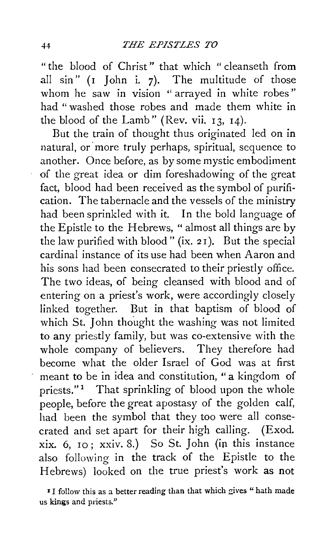"the blood of Christ" that which " cleanseth from all sin" (1 John i. 7). The multitude of those whom he saw in vision "arrayed in white robes" had "washed those robes and made them white in the blood of the Lamb" (Rev. vii. 13, 14).

But the train of thought thus originated led on in natural, or more truly perhaps, spiritual, sequence to another. Once before, as by some mystic embodiment of the great idea or dim foreshadowing of the great fact, blood had been received as the symbol of purification. The tabernacle and the vessels of the ministry had been sprinkled with it. In the bold language of the Epistle to the Hebrews, " almost all things are by the law purified with blood" (ix. 2 I). But the special cardinal instance of its use had been when Aaron and his sons had been consecrated to their priestly office. The two ideas, of being cleansed with blood and of entering on a priest's work, were accordingly closely linked together. But in that baptism of blood of which St. John thought the washing was not limited to any priestly family, but was co-extensive with the whole company of believers. They therefore had become what the older Israel of God was at first meant to be in idea and constitution, "a kingdom of priests."<sup>1</sup> That sprinkling of blood upon the whole people, before the great apostasy of the golden calf, had been the symbol that they too were all consecrated and set apart for their high cailing. (Exod. xix. 6, 10; xxiv. 8.) So St. John (in this instance also following in the track of the Epistle to the Hebrews) looked on the true priest's work as not

I I follow this as a better reading than that which gives " hath made us kings and priests."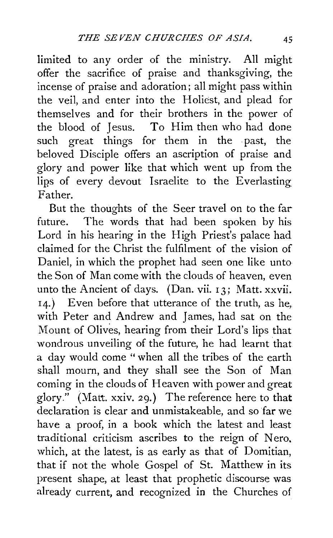limited to any order of the ministry. All might offer the sacrifice of praise and thanksgiving, the incense of praise and adoration; all might pass within the veil, and enter into the Holiest, and plead for themselves and for their brothers in the power of the blood of Jesus. To Him then who had done such great things for them in the past, the beloved Disciple offers an ascription of praise and glory and power like that which went up from the lips of every devout Israelite to the Everlasting Father.

But the thoughts of the Seer travel on to the far future. The words that had been spoken by his Lord in his hearing in the High Priest's palace had claimed for the Christ the fulfilment of the vision of Daniel, in which the prophet had seen one like unto the Son of Man come with the clouds of heaven, even unto the Ancient of days. (Dan. vii. 13; Matt. xxvii. 14.) Even before that utterance of the truth, as he,. with Peter and Andrew and James, had sat on the Mount of Olives, hearing from their Lord's lips that wondrous unveiling of the future, he had learnt that a day would come "when all the tribes of the earth shall mourn, and they shall see the Son of Man coming in the clouds of Heaven with power and great glory." (Matt. xxiv. 29.) The reference here to that declaration is clear and unmistakeable, and so far we have a proof, in a book which the latest and least traditional criticism ascribes to the reign of Nero. which, at the latest, is as early as that of Domitian, that if not the whole Gospel of St. Matthew in its present shape, at least that prophetic discourse was already current, and recognized in the Churches of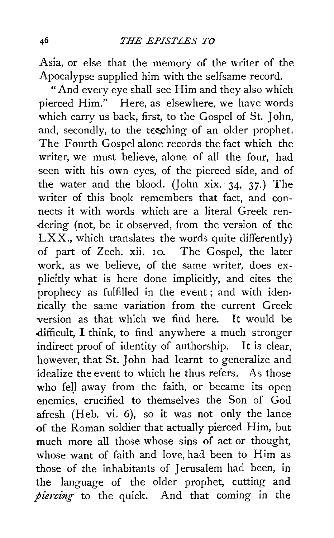Asia, or else that the memory of the writer of the Apocalypse supplied him with the selfsame record.

"And every eye £hall see Him and they also which pierced Him." Here, as elsewhere, we have words which carry us back, first, to the Gospel of St. John, and, secondly, to the tesching of an older prophet. The Fourth Gospel alone records the fact which the writer, we must believe, alone of all the four, had seen with his own eyes, of the pierced side, and of the water and the blood. (John xix. 34, 37.) The writer of this book remembers that fact, and connects it with words which are a literal Greek rendering (not, be it observed, from the version of the LXX., which translates the words quite differently) of part of Zech. xii. 10. The Gospel, the later work, as we believe, of the same writer, does explicitly what is here done implicitly, and cites the prophecy as fulfilled in the event ; and with identically the same variation from the current Greek version as that which we find here. It would be difficult, I think, to find anywhere a much stronger indirect proof of identity of authorship. It is clear, however, that St. John had learnt to generalize and idealize the event to which he thus refers. As those who fell away from the faith, or became its open enemies, crucified to themselves the Son of God afresh (Heb. vi. 6), so it was not only the lance of the Roman soldier that actually pierced Him, but much more all those whose sins of act or thought, whose want of faith and love, had been to Him as those of the inhabitants of Jerusalem had been, in the language of the older prophet, cutting and *piercing* to the quick. And that coming in the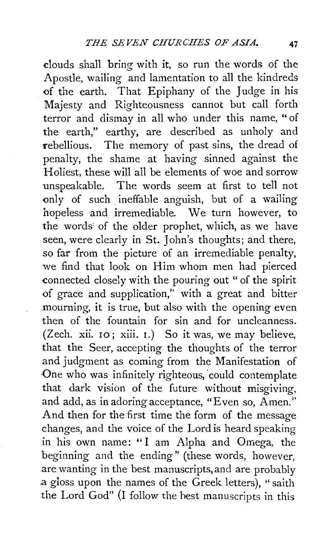clouds shall bring with it, so run the words of the Apostle, wailing and lamentation to all the kindreds <>f the earth. That Epiphany of the Judge in his Majesty and Righteousness cannot but call forth terror and dismay in all who under this name, "of the earth," earthy, are described as unholy and rebellious. The memory of past sins, the dread of penalty, the shame at having sinned against the Holiest, these will all be elements of woe and sorrow unspeakable. The words seem at first to tell not <>nly of such ineffable anguish, but of a wailing hopeless and irremediable. We turn however, to the words of the older prophet, which, as we have seen, were clearly in St. John's thoughts; and there, *so* far from the picture of an irremediable penalty, we find that look on Him whom men had pierced connected closely with the pouring out " of the spirit <>f grace and supplication," with a great and bitter mourning, it is true, but also with the opening even then of the fountain for sin and for uncleanness. (Zech. xii. 10; xiii. 1.) So it was, we may believe, that the Seer, accepting the thoughts of the terror and judgment as coming from the Manifestation of One who was infinitely righteous, could contemplate that dark vision of the future without misgiving, and add, as in adoring acceptance, "Even so, Amen.'' And then for the first time the form of the message changes, and the voice of the Lord is heard speaking in his own name: " I am Alpha and Omega, the beginning and the ending" (these words, however, are wanting in the best manuscripts, and are probably a gloss upon the names of the Greek letters), "saith the Lord God" (I follow the hest manuscripts in this